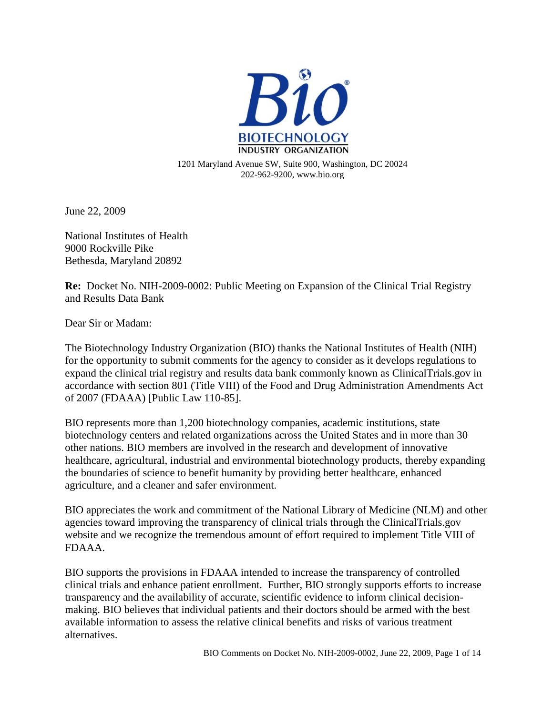

June 22, 2009

National Institutes of Health 9000 Rockville Pike Bethesda, Maryland 20892

**Re:** Docket No. NIH-2009-0002: Public Meeting on Expansion of the Clinical Trial Registry and Results Data Bank

Dear Sir or Madam:

The Biotechnology Industry Organization (BIO) thanks the National Institutes of Health (NIH) for the opportunity to submit comments for the agency to consider as it develops regulations to expand the clinical trial registry and results data bank commonly known as ClinicalTrials.gov in accordance with section 801 (Title VIII) of the Food and Drug Administration Amendments Act of 2007 (FDAAA) [Public Law 110-85].

BIO represents more than 1,200 biotechnology companies, academic institutions, state biotechnology centers and related organizations across the United States and in more than 30 other nations. BIO members are involved in the research and development of innovative healthcare, agricultural, industrial and environmental biotechnology products, thereby expanding the boundaries of science to benefit humanity by providing better healthcare, enhanced agriculture, and a cleaner and safer environment.

BIO appreciates the work and commitment of the National Library of Medicine (NLM) and other agencies toward improving the transparency of clinical trials through the ClinicalTrials.gov website and we recognize the tremendous amount of effort required to implement Title VIII of FDAAA.

BIO supports the provisions in FDAAA intended to increase the transparency of controlled clinical trials and enhance patient enrollment. Further, BIO strongly supports efforts to increase transparency and the availability of accurate, scientific evidence to inform clinical decisionmaking. BIO believes that individual patients and their doctors should be armed with the best available information to assess the relative clinical benefits and risks of various treatment alternatives.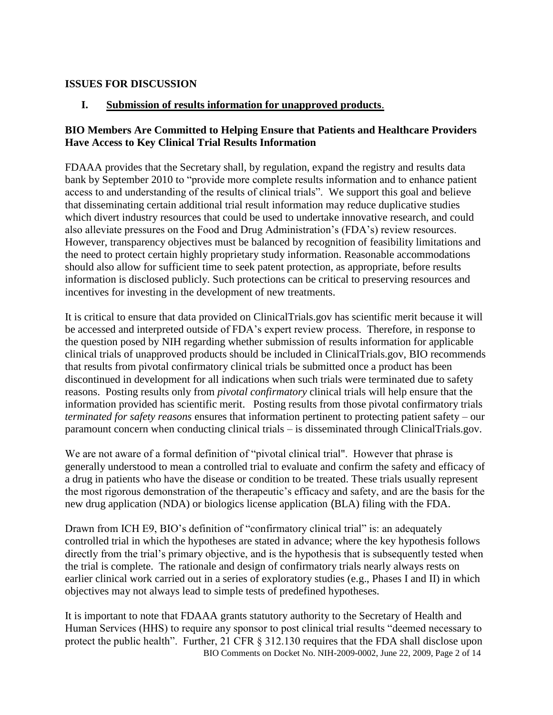#### **ISSUES FOR DISCUSSION**

#### **I. Submission of results information for unapproved products**.

#### **BIO Members Are Committed to Helping Ensure that Patients and Healthcare Providers Have Access to Key Clinical Trial Results Information**

FDAAA provides that the Secretary shall, by regulation, expand the registry and results data bank by September 2010 to "provide more complete results information and to enhance patient access to and understanding of the results of clinical trials". We support this goal and believe that disseminating certain additional trial result information may reduce duplicative studies which divert industry resources that could be used to undertake innovative research, and could also alleviate pressures on the Food and Drug Administration's (FDA's) review resources. However, transparency objectives must be balanced by recognition of feasibility limitations and the need to protect certain highly proprietary study information. Reasonable accommodations should also allow for sufficient time to seek patent protection, as appropriate, before results information is disclosed publicly. Such protections can be critical to preserving resources and incentives for investing in the development of new treatments.

It is critical to ensure that data provided on ClinicalTrials.gov has scientific merit because it will be accessed and interpreted outside of FDA's expert review process. Therefore, in response to the question posed by NIH regarding whether submission of results information for applicable clinical trials of unapproved products should be included in ClinicalTrials.gov, BIO recommends that results from pivotal confirmatory clinical trials be submitted once a product has been discontinued in development for all indications when such trials were terminated due to safety reasons. Posting results only from *pivotal confirmatory* clinical trials will help ensure that the information provided has scientific merit. Posting results from those pivotal confirmatory trials *terminated for safety reasons* ensures that information pertinent to protecting patient safety – our paramount concern when conducting clinical trials – is disseminated through ClinicalTrials.gov.

We are not aware of a formal definition of "pivotal clinical trial". However that phrase is generally understood to mean a controlled trial to evaluate and confirm the safety and efficacy of a drug in patients who have the disease or condition to be treated. These trials usually represent the most rigorous demonstration of the therapeutic's efficacy and safety, and are the basis for the new drug application (NDA) or biologics license application (BLA) filing with the FDA.

Drawn from ICH E9, BIO's definition of "confirmatory clinical trial" is: an adequately controlled trial in which the hypotheses are stated in advance; where the key hypothesis follows directly from the trial's primary objective, and is the hypothesis that is subsequently tested when the trial is complete. The rationale and design of confirmatory trials nearly always rests on earlier clinical work carried out in a series of exploratory studies (e.g., Phases I and II) in which objectives may not always lead to simple tests of predefined hypotheses.

 BIO Comments on Docket No. NIH-2009-0002, June 22, 2009, Page 2 of 14 It is important to note that FDAAA grants statutory authority to the Secretary of Health and Human Services (HHS) to require any sponsor to post clinical trial results "deemed necessary to protect the public health". Further, 21 CFR  $\S$  312.130 requires that the FDA shall disclose upon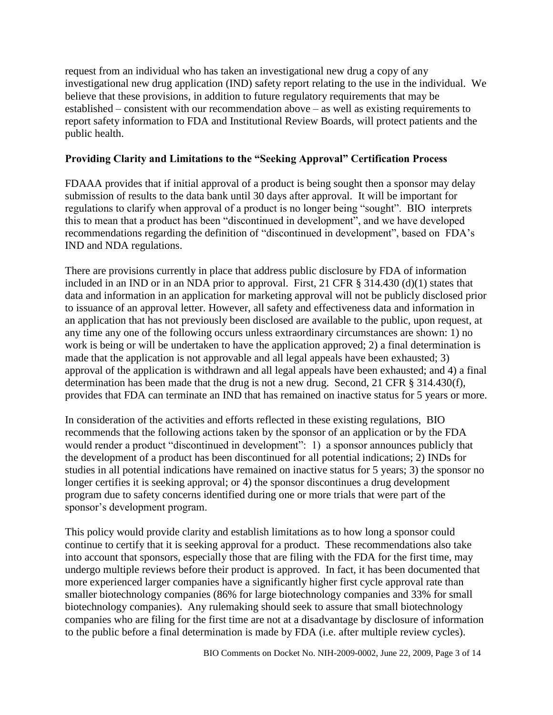request from an individual who has taken an investigational new drug a copy of any investigational new drug application (IND) safety report relating to the use in the individual. We believe that these provisions, in addition to future regulatory requirements that may be established – consistent with our recommendation above – as well as existing requirements to report safety information to FDA and Institutional Review Boards, will protect patients and the public health.

### **Providing Clarity and Limitations to the "Seeking Approval" Certification Process**

FDAAA provides that if initial approval of a product is being sought then a sponsor may delay submission of results to the data bank until 30 days after approval. It will be important for regulations to clarify when approval of a product is no longer being "sought". BIO interprets this to mean that a product has been "discontinued in development", and we have developed recommendations regarding the definition of "discontinued in development", based on FDA's IND and NDA regulations.

There are provisions currently in place that address public disclosure by FDA of information included in an IND or in an NDA prior to approval. First, 21 CFR § 314.430 (d)(1) states that data and information in an application for marketing approval will not be publicly disclosed prior to issuance of an approval letter. However, all safety and effectiveness data and information in an application that has not previously been disclosed are available to the public, upon request, at any time any one of the following occurs unless extraordinary circumstances are shown: 1) no work is being or will be undertaken to have the application approved; 2) a final determination is made that the application is not approvable and all legal appeals have been exhausted; 3) approval of the application is withdrawn and all legal appeals have been exhausted; and 4) a final determination has been made that the drug is not a new drug. Second, 21 CFR § 314.430(f), provides that FDA can terminate an IND that has remained on inactive status for 5 years or more.

In consideration of the activities and efforts reflected in these existing regulations, BIO recommends that the following actions taken by the sponsor of an application or by the FDA would render a product "discontinued in development": 1) a sponsor announces publicly that the development of a product has been discontinued for all potential indications; 2) INDs for studies in all potential indications have remained on inactive status for 5 years; 3) the sponsor no longer certifies it is seeking approval; or 4) the sponsor discontinues a drug development program due to safety concerns identified during one or more trials that were part of the sponsor's development program.

This policy would provide clarity and establish limitations as to how long a sponsor could continue to certify that it is seeking approval for a product. These recommendations also take into account that sponsors, especially those that are filing with the FDA for the first time, may undergo multiple reviews before their product is approved. In fact, it has been documented that more experienced larger companies have a significantly higher first cycle approval rate than smaller biotechnology companies (86% for large biotechnology companies and 33% for small biotechnology companies). Any rulemaking should seek to assure that small biotechnology companies who are filing for the first time are not at a disadvantage by disclosure of information to the public before a final determination is made by FDA (i.e. after multiple review cycles).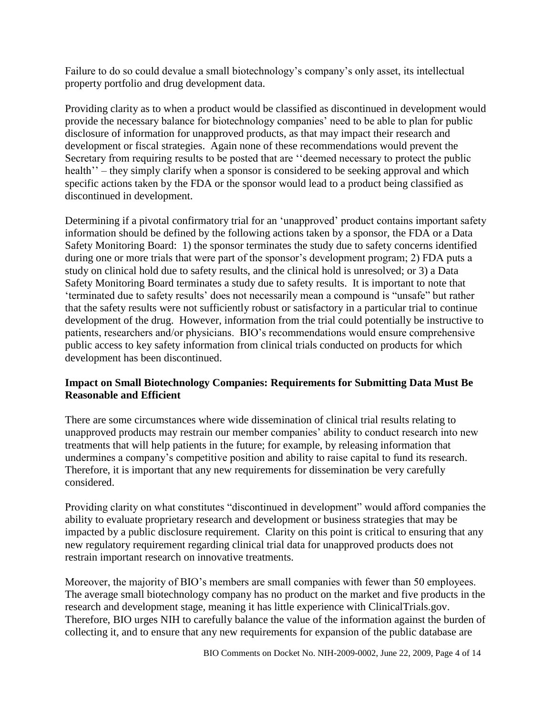Failure to do so could devalue a small biotechnology's company's only asset, its intellectual property portfolio and drug development data.

Providing clarity as to when a product would be classified as discontinued in development would provide the necessary balance for biotechnology companies' need to be able to plan for public disclosure of information for unapproved products, as that may impact their research and development or fiscal strategies. Again none of these recommendations would prevent the Secretary from requiring results to be posted that are "deemed necessary to protect the public health<sup>"</sup> – they simply clarify when a sponsor is considered to be seeking approval and which specific actions taken by the FDA or the sponsor would lead to a product being classified as discontinued in development.

Determining if a pivotal confirmatory trial for an 'unapproved' product contains important safety information should be defined by the following actions taken by a sponsor, the FDA or a Data Safety Monitoring Board: 1) the sponsor terminates the study due to safety concerns identified during one or more trials that were part of the sponsor's development program; 2) FDA puts a study on clinical hold due to safety results, and the clinical hold is unresolved; or 3) a Data Safety Monitoring Board terminates a study due to safety results. It is important to note that 'terminated due to safety results' does not necessarily mean a compound is "unsafe" but rather that the safety results were not sufficiently robust or satisfactory in a particular trial to continue development of the drug. However, information from the trial could potentially be instructive to patients, researchers and/or physicians. BIO's recommendations would ensure comprehensive public access to key safety information from clinical trials conducted on products for which development has been discontinued.

#### **Impact on Small Biotechnology Companies: Requirements for Submitting Data Must Be Reasonable and Efficient**

There are some circumstances where wide dissemination of clinical trial results relating to unapproved products may restrain our member companies' ability to conduct research into new treatments that will help patients in the future; for example, by releasing information that undermines a company's competitive position and ability to raise capital to fund its research. Therefore, it is important that any new requirements for dissemination be very carefully considered.

Providing clarity on what constitutes "discontinued in development" would afford companies the ability to evaluate proprietary research and development or business strategies that may be impacted by a public disclosure requirement. Clarity on this point is critical to ensuring that any new regulatory requirement regarding clinical trial data for unapproved products does not restrain important research on innovative treatments.

Moreover, the majority of BIO's members are small companies with fewer than 50 employees. The average small biotechnology company has no product on the market and five products in the research and development stage, meaning it has little experience with ClinicalTrials.gov. Therefore, BIO urges NIH to carefully balance the value of the information against the burden of collecting it, and to ensure that any new requirements for expansion of the public database are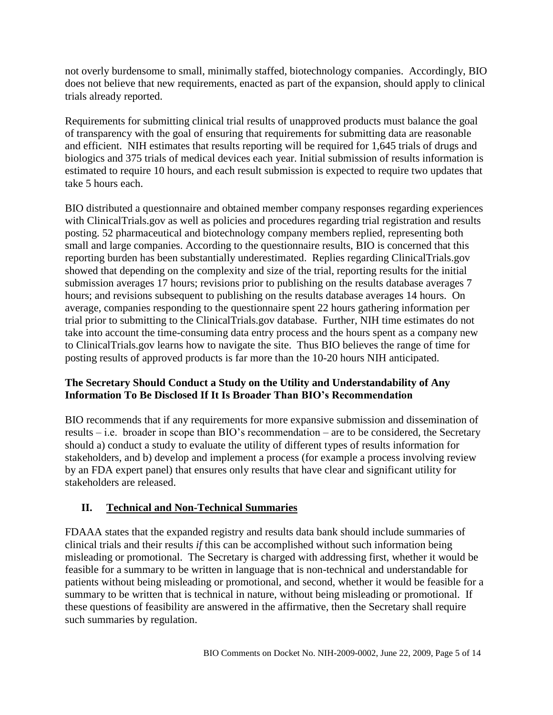not overly burdensome to small, minimally staffed, biotechnology companies. Accordingly, BIO does not believe that new requirements, enacted as part of the expansion, should apply to clinical trials already reported.

Requirements for submitting clinical trial results of unapproved products must balance the goal of transparency with the goal of ensuring that requirements for submitting data are reasonable and efficient. NIH estimates that results reporting will be required for 1,645 trials of drugs and biologics and 375 trials of medical devices each year. Initial submission of results information is estimated to require 10 hours, and each result submission is expected to require two updates that take 5 hours each.

BIO distributed a questionnaire and obtained member company responses regarding experiences with ClinicalTrials.gov as well as policies and procedures regarding trial registration and results posting. 52 pharmaceutical and biotechnology company members replied, representing both small and large companies. According to the questionnaire results, BIO is concerned that this reporting burden has been substantially underestimated. Replies regarding ClinicalTrials.gov showed that depending on the complexity and size of the trial, reporting results for the initial submission averages 17 hours; revisions prior to publishing on the results database averages 7 hours; and revisions subsequent to publishing on the results database averages 14 hours. On average, companies responding to the questionnaire spent 22 hours gathering information per trial prior to submitting to the ClinicalTrials.gov database. Further, NIH time estimates do not take into account the time-consuming data entry process and the hours spent as a company new to ClinicalTrials.gov learns how to navigate the site. Thus BIO believes the range of time for posting results of approved products is far more than the 10-20 hours NIH anticipated.

### **The Secretary Should Conduct a Study on the Utility and Understandability of Any Information To Be Disclosed If It Is Broader Than BIO"s Recommendation**

BIO recommends that if any requirements for more expansive submission and dissemination of results – i.e. broader in scope than BIO's recommendation – are to be considered, the Secretary should a) conduct a study to evaluate the utility of different types of results information for stakeholders, and b) develop and implement a process (for example a process involving review by an FDA expert panel) that ensures only results that have clear and significant utility for stakeholders are released.

### **II. Technical and Non-Technical Summaries**

FDAAA states that the expanded registry and results data bank should include summaries of clinical trials and their results *if* this can be accomplished without such information being misleading or promotional. The Secretary is charged with addressing first, whether it would be feasible for a summary to be written in language that is non-technical and understandable for patients without being misleading or promotional, and second, whether it would be feasible for a summary to be written that is technical in nature, without being misleading or promotional. If these questions of feasibility are answered in the affirmative, then the Secretary shall require such summaries by regulation.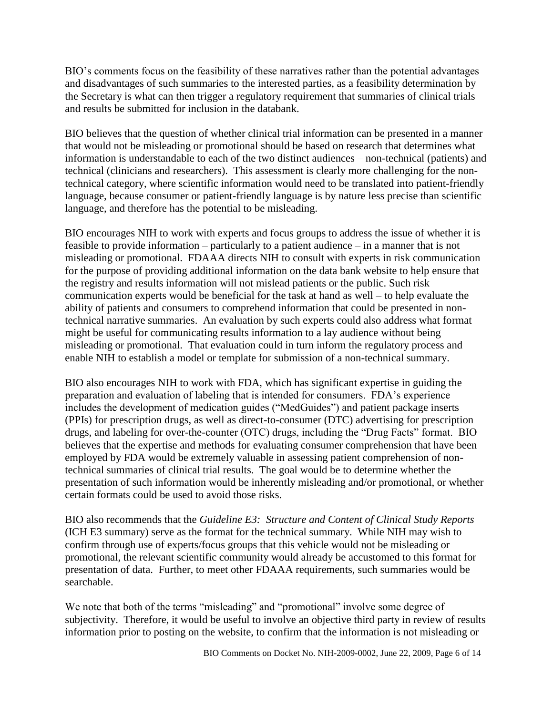BIO's comments focus on the feasibility of these narratives rather than the potential advantages and disadvantages of such summaries to the interested parties, as a feasibility determination by the Secretary is what can then trigger a regulatory requirement that summaries of clinical trials and results be submitted for inclusion in the databank.

BIO believes that the question of whether clinical trial information can be presented in a manner that would not be misleading or promotional should be based on research that determines what information is understandable to each of the two distinct audiences – non-technical (patients) and technical (clinicians and researchers). This assessment is clearly more challenging for the nontechnical category, where scientific information would need to be translated into patient-friendly language, because consumer or patient-friendly language is by nature less precise than scientific language, and therefore has the potential to be misleading.

BIO encourages NIH to work with experts and focus groups to address the issue of whether it is feasible to provide information – particularly to a patient audience – in a manner that is not misleading or promotional. FDAAA directs NIH to consult with experts in risk communication for the purpose of providing additional information on the data bank website to help ensure that the registry and results information will not mislead patients or the public. Such risk communication experts would be beneficial for the task at hand as well – to help evaluate the ability of patients and consumers to comprehend information that could be presented in nontechnical narrative summaries. An evaluation by such experts could also address what format might be useful for communicating results information to a lay audience without being misleading or promotional. That evaluation could in turn inform the regulatory process and enable NIH to establish a model or template for submission of a non-technical summary.

BIO also encourages NIH to work with FDA, which has significant expertise in guiding the preparation and evaluation of labeling that is intended for consumers. FDA's experience includes the development of medication guides ("MedGuides") and patient package inserts (PPIs) for prescription drugs, as well as direct-to-consumer (DTC) advertising for prescription drugs, and labeling for over-the-counter (OTC) drugs, including the "Drug Facts" format. BIO believes that the expertise and methods for evaluating consumer comprehension that have been employed by FDA would be extremely valuable in assessing patient comprehension of nontechnical summaries of clinical trial results. The goal would be to determine whether the presentation of such information would be inherently misleading and/or promotional, or whether certain formats could be used to avoid those risks.

BIO also recommends that the *Guideline E3: Structure and Content of Clinical Study Reports* (ICH E3 summary) serve as the format for the technical summary. While NIH may wish to confirm through use of experts/focus groups that this vehicle would not be misleading or promotional, the relevant scientific community would already be accustomed to this format for presentation of data. Further, to meet other FDAAA requirements, such summaries would be searchable.

We note that both of the terms "misleading" and "promotional" involve some degree of subjectivity. Therefore, it would be useful to involve an objective third party in review of results information prior to posting on the website, to confirm that the information is not misleading or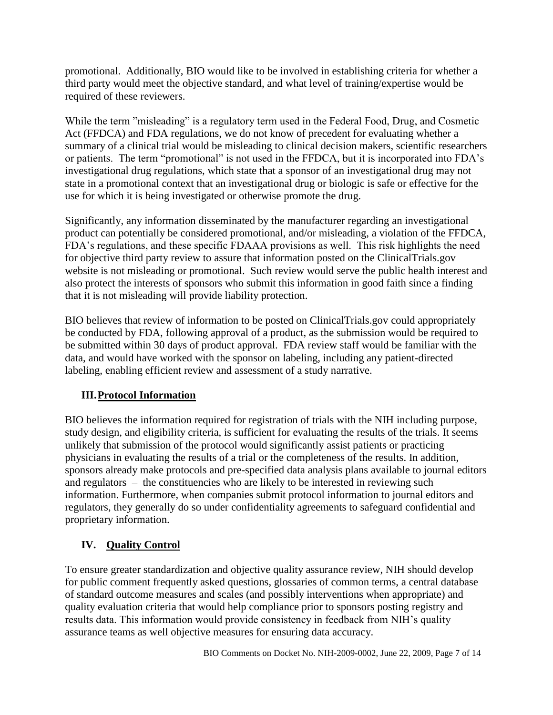promotional. Additionally, BIO would like to be involved in establishing criteria for whether a third party would meet the objective standard, and what level of training/expertise would be required of these reviewers.

While the term "misleading" is a regulatory term used in the Federal Food, Drug, and Cosmetic Act (FFDCA) and FDA regulations, we do not know of precedent for evaluating whether a summary of a clinical trial would be misleading to clinical decision makers, scientific researchers or patients. The term "promotional" is not used in the FFDCA, but it is incorporated into FDA's investigational drug regulations, which state that a sponsor of an investigational drug may not state in a promotional context that an investigational drug or biologic is safe or effective for the use for which it is being investigated or otherwise promote the drug.

Significantly, any information disseminated by the manufacturer regarding an investigational product can potentially be considered promotional, and/or misleading, a violation of the FFDCA, FDA's regulations, and these specific FDAAA provisions as well. This risk highlights the need for objective third party review to assure that information posted on the ClinicalTrials.gov website is not misleading or promotional. Such review would serve the public health interest and also protect the interests of sponsors who submit this information in good faith since a finding that it is not misleading will provide liability protection.

BIO believes that review of information to be posted on ClinicalTrials.gov could appropriately be conducted by FDA, following approval of a product, as the submission would be required to be submitted within 30 days of product approval. FDA review staff would be familiar with the data, and would have worked with the sponsor on labeling, including any patient-directed labeling, enabling efficient review and assessment of a study narrative.

# **III.Protocol Information**

BIO believes the information required for registration of trials with the NIH including purpose, study design, and eligibility criteria, is sufficient for evaluating the results of the trials. It seems unlikely that submission of the protocol would significantly assist patients or practicing physicians in evaluating the results of a trial or the completeness of the results. In addition, sponsors already make protocols and pre-specified data analysis plans available to journal editors and regulators – the constituencies who are likely to be interested in reviewing such information. Furthermore, when companies submit protocol information to journal editors and regulators, they generally do so under confidentiality agreements to safeguard confidential and proprietary information.

# **IV. Quality Control**

To ensure greater standardization and objective quality assurance review, NIH should develop for public comment frequently asked questions, glossaries of common terms, a central database of standard outcome measures and scales (and possibly interventions when appropriate) and quality evaluation criteria that would help compliance prior to sponsors posting registry and results data. This information would provide consistency in feedback from NIH's quality assurance teams as well objective measures for ensuring data accuracy.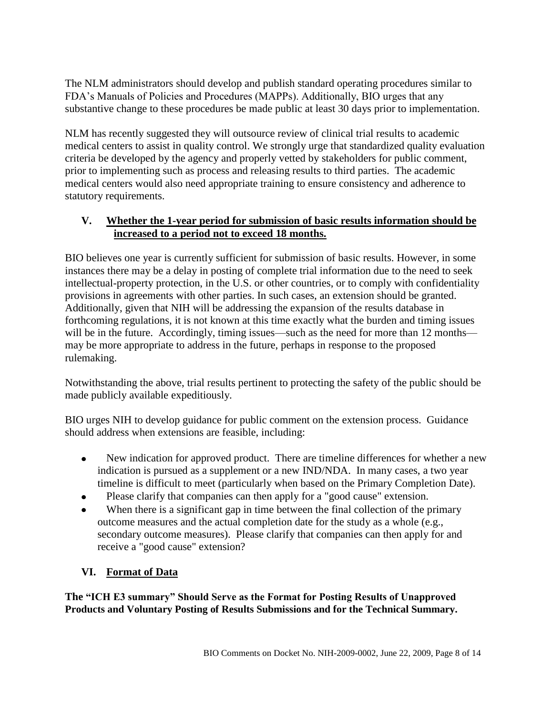The NLM administrators should develop and publish standard operating procedures similar to FDA's Manuals of Policies and Procedures (MAPPs). Additionally, BIO urges that any substantive change to these procedures be made public at least 30 days prior to implementation.

NLM has recently suggested they will outsource review of clinical trial results to academic medical centers to assist in quality control. We strongly urge that standardized quality evaluation criteria be developed by the agency and properly vetted by stakeholders for public comment, prior to implementing such as process and releasing results to third parties. The academic medical centers would also need appropriate training to ensure consistency and adherence to statutory requirements.

#### **V. Whether the 1-year period for submission of basic results information should be increased to a period not to exceed 18 months.**

BIO believes one year is currently sufficient for submission of basic results. However, in some instances there may be a delay in posting of complete trial information due to the need to seek intellectual-property protection, in the U.S. or other countries, or to comply with confidentiality provisions in agreements with other parties. In such cases, an extension should be granted. Additionally, given that NIH will be addressing the expansion of the results database in forthcoming regulations, it is not known at this time exactly what the burden and timing issues will be in the future. Accordingly, timing issues—such as the need for more than 12 months may be more appropriate to address in the future, perhaps in response to the proposed rulemaking.

Notwithstanding the above, trial results pertinent to protecting the safety of the public should be made publicly available expeditiously.

BIO urges NIH to develop guidance for public comment on the extension process. Guidance should address when extensions are feasible, including:

- New indication for approved product. There are timeline differences for whether a new  $\bullet$ indication is pursued as a supplement or a new IND/NDA. In many cases, a two year timeline is difficult to meet (particularly when based on the Primary Completion Date).
- Please clarify that companies can then apply for a "good cause" extension.  $\bullet$
- When there is a significant gap in time between the final collection of the primary  $\bullet$ outcome measures and the actual completion date for the study as a whole (e.g., secondary outcome measures). Please clarify that companies can then apply for and receive a "good cause" extension?

# **VI. Format of Data**

**The "ICH E3 summary" Should Serve as the Format for Posting Results of Unapproved Products and Voluntary Posting of Results Submissions and for the Technical Summary.**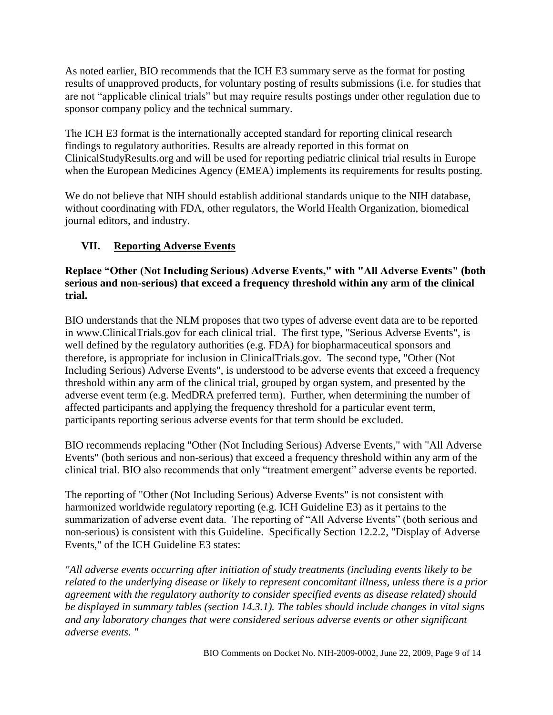As noted earlier, BIO recommends that the ICH E3 summary serve as the format for posting results of unapproved products, for voluntary posting of results submissions (i.e. for studies that are not "applicable clinical trials" but may require results postings under other regulation due to sponsor company policy and the technical summary.

The ICH E3 format is the internationally accepted standard for reporting clinical research findings to regulatory authorities. Results are already reported in this format on ClinicalStudyResults.org and will be used for reporting pediatric clinical trial results in Europe when the European Medicines Agency (EMEA) implements its requirements for results posting.

We do not believe that NIH should establish additional standards unique to the NIH database, without coordinating with FDA, other regulators, the World Health Organization, biomedical journal editors, and industry.

# **VII. Reporting Adverse Events**

### **Replace "Other (Not Including Serious) Adverse Events," with "All Adverse Events" (both serious and non-serious) that exceed a frequency threshold within any arm of the clinical trial.**

BIO understands that the NLM proposes that two types of adverse event data are to be reported in www.ClinicalTrials.gov for each clinical trial. The first type, "Serious Adverse Events", is well defined by the regulatory authorities (e.g. FDA) for biopharmaceutical sponsors and therefore, is appropriate for inclusion in ClinicalTrials.gov. The second type, "Other (Not Including Serious) Adverse Events", is understood to be adverse events that exceed a frequency threshold within any arm of the clinical trial, grouped by organ system, and presented by the adverse event term (e.g. MedDRA preferred term). Further, when determining the number of affected participants and applying the frequency threshold for a particular event term, participants reporting serious adverse events for that term should be excluded.

BIO recommends replacing "Other (Not Including Serious) Adverse Events," with "All Adverse Events" (both serious and non-serious) that exceed a frequency threshold within any arm of the clinical trial. BIO also recommends that only "treatment emergent" adverse events be reported.

The reporting of "Other (Not Including Serious) Adverse Events" is not consistent with harmonized worldwide regulatory reporting (e.g. ICH Guideline E3) as it pertains to the summarization of adverse event data. The reporting of "All Adverse Events" (both serious and non-serious) is consistent with this Guideline. Specifically Section 12.2.2, "Display of Adverse Events," of the ICH Guideline E3 states:

*"All adverse events occurring after initiation of study treatments (including events likely to be related to the underlying disease or likely to represent concomitant illness, unless there is a prior agreement with the regulatory authority to consider specified events as disease related) should be displayed in summary tables (section 14.3.1). The tables should include changes in vital signs and any laboratory changes that were considered serious adverse events or other significant adverse events. "*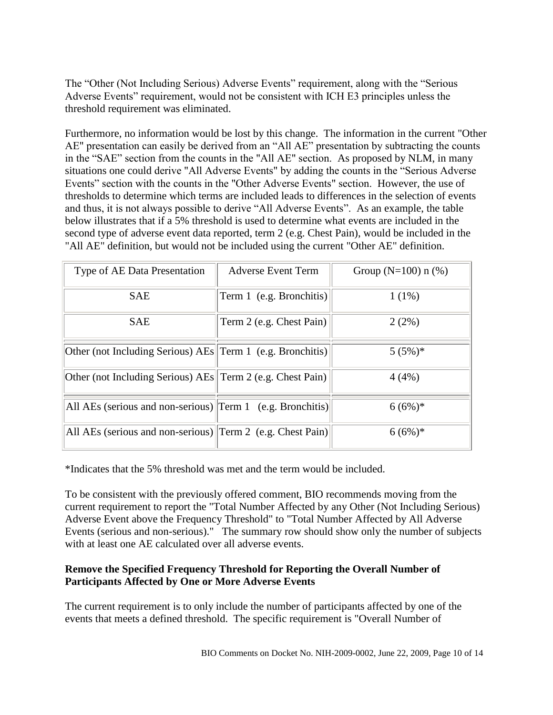The "Other (Not Including Serious) Adverse Events" requirement, along with the "Serious Adverse Events" requirement, would not be consistent with ICH E3 principles unless the threshold requirement was eliminated.

Furthermore, no information would be lost by this change. The information in the current "Other AE" presentation can easily be derived from an "All AE" presentation by subtracting the counts in the "SAE" section from the counts in the "All AE" section. As proposed by NLM, in many situations one could derive "All Adverse Events" by adding the counts in the "Serious Adverse" Events" section with the counts in the "Other Adverse Events" section. However, the use of thresholds to determine which terms are included leads to differences in the selection of events and thus, it is not always possible to derive "All Adverse Events". As an example, the table below illustrates that if a 5% threshold is used to determine what events are included in the second type of adverse event data reported, term 2 (e.g. Chest Pain), would be included in the "All AE" definition, but would not be included using the current "Other AE" definition.

| Type of AE Data Presentation                                 | <b>Adverse Event Term</b> | Group ( $N=100$ ) n (%) |
|--------------------------------------------------------------|---------------------------|-------------------------|
| <b>SAE</b>                                                   | Term 1 (e.g. Bronchitis)  | $1(1\%)$                |
| <b>SAE</b>                                                   | Term 2 (e.g. Chest Pain)  | 2(2%)                   |
| Other (not Including Serious) $AEs$ Term 1 (e.g. Bronchitis) |                           | $5(5%)$ *               |
| Other (not Including Serious) AEs  Term 2 (e.g. Chest Pain)  |                           | 4(4%)                   |
| All AEs (serious and non-serious) Term 1 (e.g. Bronchitis)   |                           | $6(6%)$ *               |
| All AEs (serious and non-serious) Term 2 (e.g. Chest Pain)   |                           | $6(6%)$ *               |

\*Indicates that the 5% threshold was met and the term would be included.

To be consistent with the previously offered comment, BIO recommends moving from the current requirement to report the "Total Number Affected by any Other (Not Including Serious) Adverse Event above the Frequency Threshold" to "Total Number Affected by All Adverse Events (serious and non-serious)." The summary row should show only the number of subjects with at least one AE calculated over all adverse events.

#### **Remove the Specified Frequency Threshold for Reporting the Overall Number of Participants Affected by One or More Adverse Events**

The current requirement is to only include the number of participants affected by one of the events that meets a defined threshold. The specific requirement is "Overall Number of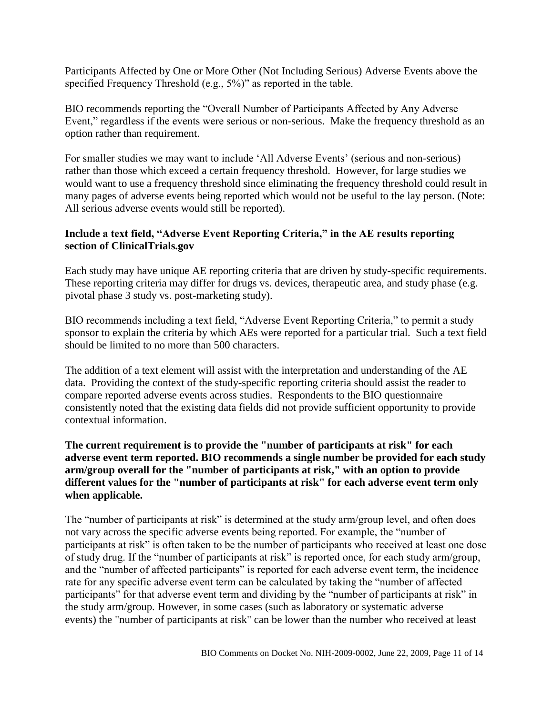Participants Affected by One or More Other (Not Including Serious) Adverse Events above the specified Frequency Threshold (e.g.,  $5\%$ )" as reported in the table.

BIO recommends reporting the "Overall Number of Participants Affected by Any Adverse Event," regardless if the events were serious or non-serious. Make the frequency threshold as an option rather than requirement.

For smaller studies we may want to include 'All Adverse Events' (serious and non-serious) rather than those which exceed a certain frequency threshold. However, for large studies we would want to use a frequency threshold since eliminating the frequency threshold could result in many pages of adverse events being reported which would not be useful to the lay person. (Note: All serious adverse events would still be reported).

#### **Include a text field, "Adverse Event Reporting Criteria," in the AE results reporting section of ClinicalTrials.gov**

Each study may have unique AE reporting criteria that are driven by study-specific requirements. These reporting criteria may differ for drugs vs. devices, therapeutic area, and study phase (e.g. pivotal phase 3 study vs. post-marketing study).

BIO recommends including a text field, "Adverse Event Reporting Criteria," to permit a study sponsor to explain the criteria by which AEs were reported for a particular trial. Such a text field should be limited to no more than 500 characters.

The addition of a text element will assist with the interpretation and understanding of the AE data. Providing the context of the study-specific reporting criteria should assist the reader to compare reported adverse events across studies. Respondents to the BIO questionnaire consistently noted that the existing data fields did not provide sufficient opportunity to provide contextual information.

#### **The current requirement is to provide the "number of participants at risk" for each adverse event term reported. BIO recommends a single number be provided for each study arm/group overall for the "number of participants at risk," with an option to provide different values for the "number of participants at risk" for each adverse event term only when applicable.**

The "number of participants at risk" is determined at the study arm/group level, and often does not vary across the specific adverse events being reported. For example, the "number of participants at risk" is often taken to be the number of participants who received at least one dose of study drug. If the "number of participants at risk" is reported once, for each study arm/group, and the "number of affected participants" is reported for each adverse event term, the incidence rate for any specific adverse event term can be calculated by taking the "number of affected participants" for that adverse event term and dividing by the "number of participants at risk" in the study arm/group. However, in some cases (such as laboratory or systematic adverse events) the "number of participants at risk" can be lower than the number who received at least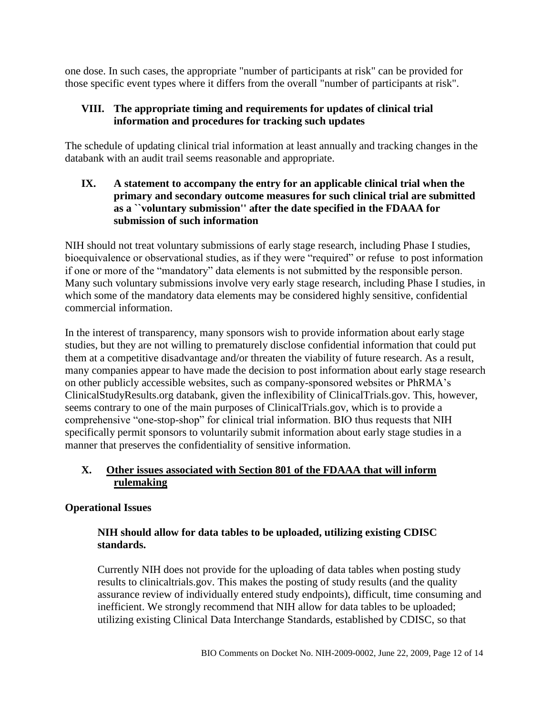one dose. In such cases, the appropriate "number of participants at risk" can be provided for those specific event types where it differs from the overall "number of participants at risk".

### **VIII. The appropriate timing and requirements for updates of clinical trial information and procedures for tracking such updates**

The schedule of updating clinical trial information at least annually and tracking changes in the databank with an audit trail seems reasonable and appropriate.

### **IX. A statement to accompany the entry for an applicable clinical trial when the primary and secondary outcome measures for such clinical trial are submitted as a ``voluntary submission'' after the date specified in the FDAAA for submission of such information**

NIH should not treat voluntary submissions of early stage research, including Phase I studies, bioequivalence or observational studies, as if they were "required" or refuse to post information if one or more of the "mandatory" data elements is not submitted by the responsible person. Many such voluntary submissions involve very early stage research, including Phase I studies, in which some of the mandatory data elements may be considered highly sensitive, confidential commercial information.

In the interest of transparency, many sponsors wish to provide information about early stage studies, but they are not willing to prematurely disclose confidential information that could put them at a competitive disadvantage and/or threaten the viability of future research. As a result, many companies appear to have made the decision to post information about early stage research on other publicly accessible websites, such as company-sponsored websites or PhRMA's ClinicalStudyResults.org databank, given the inflexibility of ClinicalTrials.gov. This, however, seems contrary to one of the main purposes of ClinicalTrials.gov, which is to provide a comprehensive "one-stop-shop" for clinical trial information. BIO thus requests that NIH specifically permit sponsors to voluntarily submit information about early stage studies in a manner that preserves the confidentiality of sensitive information.

### **X. Other issues associated with Section 801 of the FDAAA that will inform rulemaking**

# **Operational Issues**

### **NIH should allow for data tables to be uploaded, utilizing existing CDISC standards.**

Currently NIH does not provide for the uploading of data tables when posting study results to clinicaltrials.gov. This makes the posting of study results (and the quality assurance review of individually entered study endpoints), difficult, time consuming and inefficient. We strongly recommend that NIH allow for data tables to be uploaded; utilizing existing Clinical Data Interchange Standards, established by CDISC, so that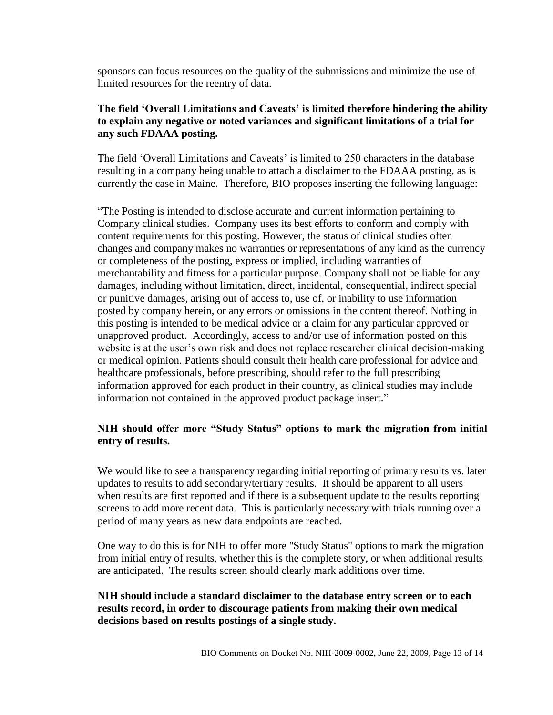sponsors can focus resources on the quality of the submissions and minimize the use of limited resources for the reentry of data.

#### **The field "Overall Limitations and Caveats" is limited therefore hindering the ability to explain any negative or noted variances and significant limitations of a trial for any such FDAAA posting.**

The field 'Overall Limitations and Caveats' is limited to 250 characters in the database resulting in a company being unable to attach a disclaimer to the FDAAA posting, as is currently the case in Maine. Therefore, BIO proposes inserting the following language:

―The Posting is intended to disclose accurate and current information pertaining to Company clinical studies. Company uses its best efforts to conform and comply with content requirements for this posting. However, the status of clinical studies often changes and company makes no warranties or representations of any kind as the currency or completeness of the posting, express or implied, including warranties of merchantability and fitness for a particular purpose. Company shall not be liable for any damages, including without limitation, direct, incidental, consequential, indirect special or punitive damages, arising out of access to, use of, or inability to use information posted by company herein, or any errors or omissions in the content thereof. Nothing in this posting is intended to be medical advice or a claim for any particular approved or unapproved product. Accordingly, access to and/or use of information posted on this website is at the user's own risk and does not replace researcher clinical decision-making or medical opinion. Patients should consult their health care professional for advice and healthcare professionals, before prescribing, should refer to the full prescribing information approved for each product in their country, as clinical studies may include information not contained in the approved product package insert."

#### **NIH should offer more "Study Status" options to mark the migration from initial entry of results.**

We would like to see a transparency regarding initial reporting of primary results vs. later updates to results to add secondary/tertiary results. It should be apparent to all users when results are first reported and if there is a subsequent update to the results reporting screens to add more recent data. This is particularly necessary with trials running over a period of many years as new data endpoints are reached.

One way to do this is for NIH to offer more "Study Status" options to mark the migration from initial entry of results, whether this is the complete story, or when additional results are anticipated. The results screen should clearly mark additions over time.

#### **NIH should include a standard disclaimer to the database entry screen or to each results record, in order to discourage patients from making their own medical decisions based on results postings of a single study.**